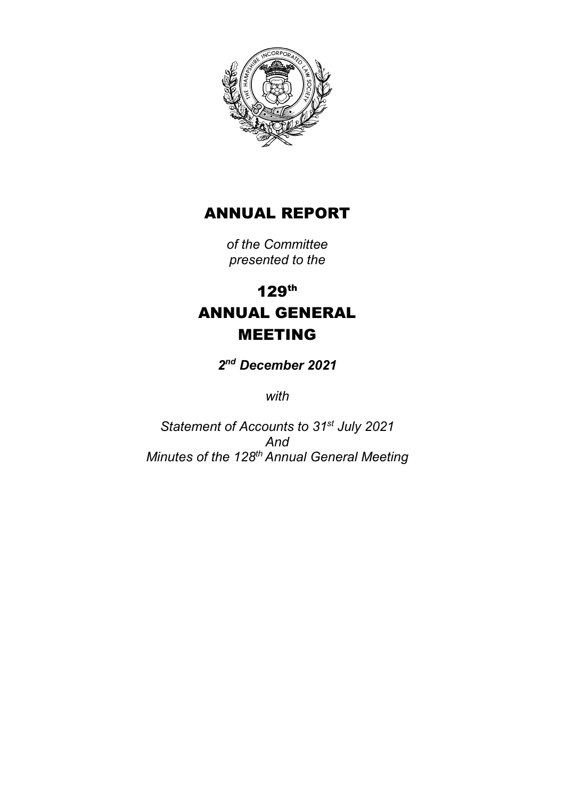

# ANNUAL REPORT

*of the Committee presented to the*

# 129th ANNUAL GENERAL MEETING

*2nd December 2021*

*with*

*Statement of Accounts to 31st July 2021 And Minutes of the 128th Annual General Meeting*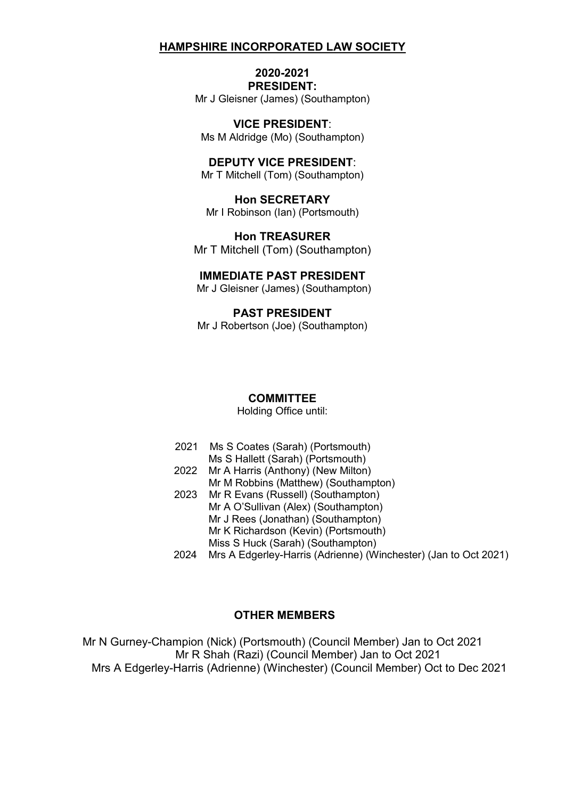## **2020-2021 PRESIDENT:**

Mr J Gleisner (James) (Southampton)

**VICE PRESIDENT**: Ms M Aldridge (Mo) (Southampton)

**DEPUTY VICE PRESIDENT**: Mr T Mitchell (Tom) (Southampton)

**Hon SECRETARY** Mr I Robinson (Ian) (Portsmouth)

**Hon TREASURER** Mr T Mitchell (Tom) (Southampton)

#### **IMMEDIATE PAST PRESIDENT**

Mr J Gleisner (James) (Southampton)

**PAST PRESIDENT** Mr J Robertson (Joe) (Southampton)

#### **COMMITTEE**

Holding Office until:

- 2021 Ms S Coates (Sarah) (Portsmouth)
- Ms S Hallett (Sarah) (Portsmouth)
- 2022 Mr A Harris (Anthony) (New Milton) Mr M Robbins (Matthew) (Southampton)
- 2023 Mr R Evans (Russell) (Southampton) Mr A O'Sullivan (Alex) (Southampton) Mr J Rees (Jonathan) (Southampton) Mr K Richardson (Kevin) (Portsmouth) Miss S Huck (Sarah) (Southampton)
- 2024 Mrs A Edgerley-Harris (Adrienne) (Winchester) (Jan to Oct 2021)

### **OTHER MEMBERS**

Mr N Gurney-Champion (Nick) (Portsmouth) (Council Member) Jan to Oct 2021 Mr R Shah (Razi) (Council Member) Jan to Oct 2021 Mrs A Edgerley-Harris (Adrienne) (Winchester) (Council Member) Oct to Dec 2021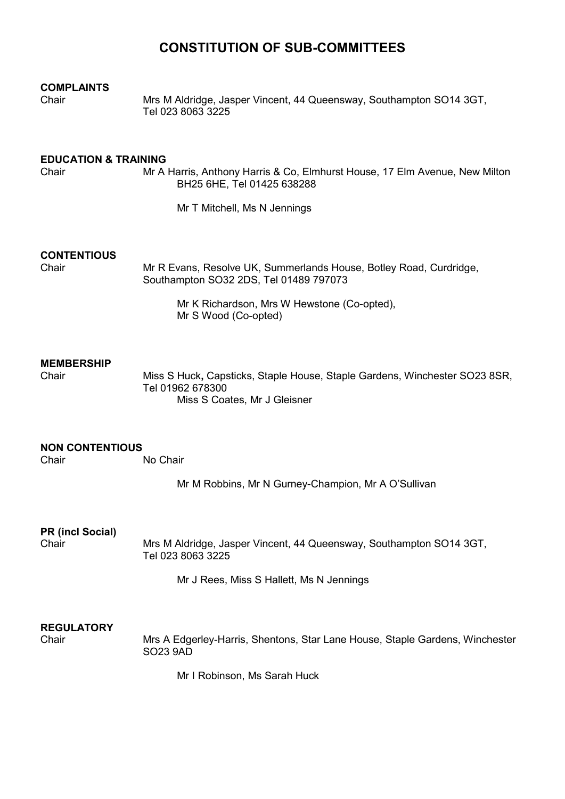# **CONSTITUTION OF SUB-COMMITTEES**

# **COMPLAINTS**

Mrs M Aldridge, Jasper Vincent, 44 Queensway, Southampton SO14 3GT, Tel 023 8063 3225

# **EDUCATION & TRAINING**<br>Chair Mr A

Mr A Harris, Anthony Harris & Co, Elmhurst House, 17 Elm Avenue, New Milton BH25 6HE, Tel 01425 638288

Mr T Mitchell, Ms N Jennings

# **CONTENTIOUS**

Mr R Evans, Resolve UK, Summerlands House, Botley Road, Curdridge, Southampton SO32 2DS, Tel 01489 797073

Mr K Richardson, Mrs W Hewstone (Co-opted), Mr S Wood (Co-opted)

#### **MEMBERSHIP**

Chair Miss S Huck**,** Capsticks, Staple House, Staple Gardens, Winchester SO23 8SR, Tel 01962 678300 Miss S Coates, Mr J Gleisner

#### **NON CONTENTIOUS** No Chair

Mr M Robbins, Mr N Gurney-Champion, Mr A O'Sullivan

**PR (incl Social)**

Chair Mrs M Aldridge, Jasper Vincent, 44 Queensway, Southampton SO14 3GT, Tel 023 8063 3225

Mr J Rees, Miss S Hallett, Ms N Jennings

# **REGULATORY**

Mrs A Edgerley-Harris, Shentons, Star Lane House, Staple Gardens, Winchester SO23 9AD

Mr I Robinson, Ms Sarah Huck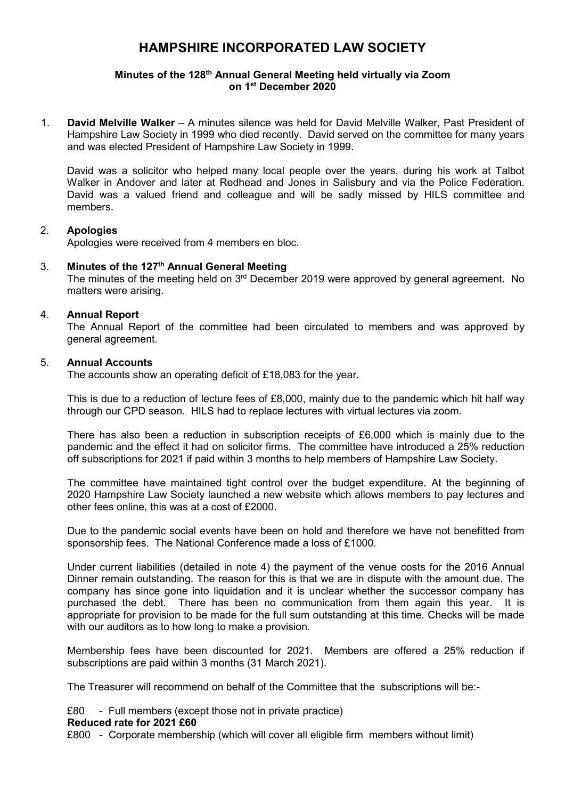#### **Minutes of the 128th Annual General Meeting held virtually via Zoom on 1st December 2020**

1. **David Melville Walker** – A minutes silence was held for David Melville Walker, Past President of Hampshire Law Society in 1999 who died recently. David served on the committee for many years and was elected President of Hampshire Law Society in 1999.

David was a solicitor who helped many local people over the years, during his work at Talbot Walker in Andover and later at Redhead and Jones in Salisbury and via the Police Federation. David was a valued friend and colleague and will be sadly missed by HILS committee and members.

#### 2. **Apologies**

Apologies were received from 4 members en bloc.

#### 3. **Minutes of the 127th Annual General Meeting**

The minutes of the meeting held on 3<sup>rd</sup> December 2019 were approved by general agreement. No matters were arising.

#### 4. **Annual Report**

The Annual Report of the committee had been circulated to members and was approved by general agreement.

#### 5. **Annual Accounts**

The accounts show an operating deficit of £18,083 for the year.

This is due to a reduction of lecture fees of £8,000, mainly due to the pandemic which hit half way through our CPD season. HILS had to replace lectures with virtual lectures via zoom.

There has also been a reduction in subscription receipts of £6,000 which is mainly due to the pandemic and the effect it had on solicitor firms. The committee have introduced a 25% reduction off subscriptions for 2021 if paid within 3 months to help members of Hampshire Law Society.

The committee have maintained tight control over the budget expenditure. At the beginning of 2020 Hampshire Law Society launched a new website which allows members to pay lectures and other fees online, this was at a cost of £2000.

Due to the pandemic social events have been on hold and therefore we have not benefitted from sponsorship fees. The National Conference made a loss of £1000.

Under current liabilities (detailed in note 4) the payment of the venue costs for the 2016 Annual Dinner remain outstanding. The reason for this is that we are in dispute with the amount due. The company has since gone into liquidation and it is unclear whether the successor company has purchased the debt. There has been no communication from them again this year. It is appropriate for provision to be made for the full sum outstanding at this time. Checks will be made with our auditors as to how long to make a provision.

Membership fees have been discounted for 2021. Members are offered a 25% reduction if subscriptions are paid within 3 months (31 March 2021).

The Treasurer will recommend on behalf of the Committee that the subscriptions will be:-

£80 - Full members (except those not in private practice)

#### **Reduced rate for 2021 £60**

£800 - Corporate membership (which will cover all eligible firm members without limit)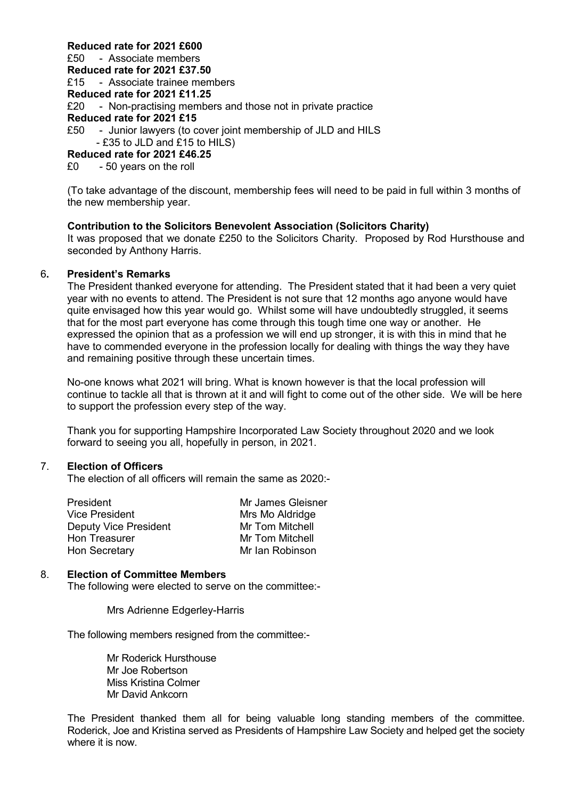#### **Reduced rate for 2021 £600**

£50 - Associate members **Reduced rate for 2021 £37.50** £15 - Associate trainee members **Reduced rate for 2021 £11.25** £20 - Non-practising members and those not in private practice **Reduced rate for 2021 £15**<br>£50 - Junior lawyers (to c - Junior lawyers (to cover joint membership of JLD and HILS  $-$  £35 to JLD and £15 to HILS) **Reduced rate for 2021 £46.25**

£0 - 50 years on the roll

(To take advantage of the discount, membership fees will need to be paid in full within 3 months of the new membership year.

#### **Contribution to the Solicitors Benevolent Association (Solicitors Charity)**

It was proposed that we donate £250 to the Solicitors Charity. Proposed by Rod Hursthouse and seconded by Anthony Harris.

#### 6**. President's Remarks**

The President thanked everyone for attending. The President stated that it had been a very quiet year with no events to attend. The President is not sure that 12 months ago anyone would have quite envisaged how this year would go. Whilst some will have undoubtedly struggled, it seems that for the most part everyone has come through this tough time one way or another. He expressed the opinion that as a profession we will end up stronger, it is with this in mind that he have to commended everyone in the profession locally for dealing with things the way they have and remaining positive through these uncertain times.

No-one knows what 2021 will bring. What is known however is that the local profession will continue to tackle all that is thrown at it and will fight to come out of the other side. We will be here to support the profession every step of the way.

Thank you for supporting Hampshire Incorporated Law Society throughout 2020 and we look forward to seeing you all, hopefully in person, in 2021.

#### 7. **Election of Officers**

The election of all officers will remain the same as 2020:-

| Mr James Gleisner |
|-------------------|
| Mrs Mo Aldridge   |
| Mr Tom Mitchell   |
| Mr Tom Mitchell   |
| Mr Ian Robinson   |
|                   |

#### 8. **Election of Committee Members**

The following were elected to serve on the committee:-

Mrs Adrienne Edgerley-Harris

The following members resigned from the committee:-

Mr Roderick Hursthouse Mr Joe Robertson Miss Kristina Colmer Mr David Ankcorn

The President thanked them all for being valuable long standing members of the committee. Roderick, Joe and Kristina served as Presidents of Hampshire Law Society and helped get the society where it is now.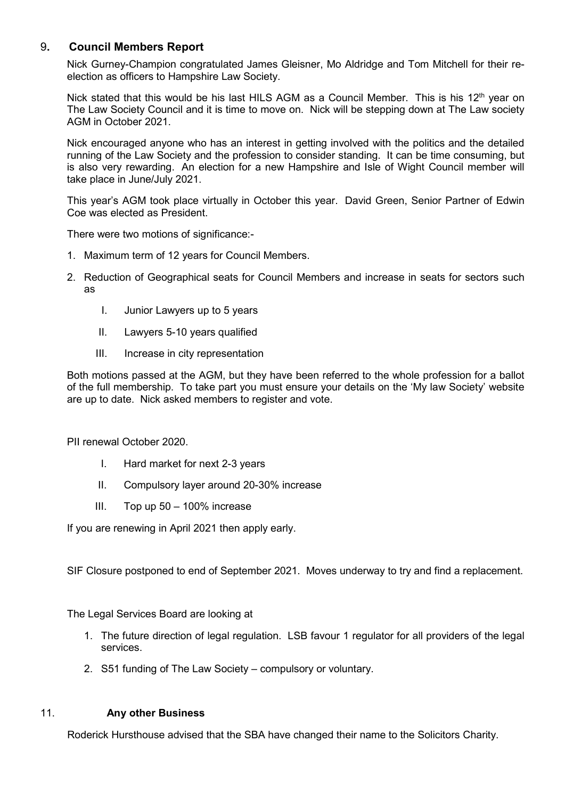### 9**. Council Members Report**

Nick Gurney-Champion congratulated James Gleisner, Mo Aldridge and Tom Mitchell for their reelection as officers to Hampshire Law Society.

Nick stated that this would be his last HILS AGM as a Council Member. This is his 12<sup>th</sup> year on The Law Society Council and it is time to move on. Nick will be stepping down at The Law society AGM in October 2021.

Nick encouraged anyone who has an interest in getting involved with the politics and the detailed running of the Law Society and the profession to consider standing. It can be time consuming, but is also very rewarding. An election for a new Hampshire and Isle of Wight Council member will take place in June/July 2021.

This year's AGM took place virtually in October this year. David Green, Senior Partner of Edwin Coe was elected as President.

There were two motions of significance:-

- 1. Maximum term of 12 years for Council Members.
- 2. Reduction of Geographical seats for Council Members and increase in seats for sectors such as
	- I. Junior Lawyers up to 5 years
	- II. Lawyers 5-10 years qualified
	- III. Increase in city representation

Both motions passed at the AGM, but they have been referred to the whole profession for a ballot of the full membership. To take part you must ensure your details on the 'My law Society' website are up to date. Nick asked members to register and vote.

PII renewal October 2020.

- I. Hard market for next 2-3 years
- II. Compulsory layer around 20-30% increase
- III. Top up 50 100% increase

If you are renewing in April 2021 then apply early.

SIF Closure postponed to end of September 2021. Moves underway to try and find a replacement.

The Legal Services Board are looking at

- 1. The future direction of legal regulation. LSB favour 1 regulator for all providers of the legal services.
- 2. S51 funding of The Law Society compulsory or voluntary.

#### 11. **Any other Business**

Roderick Hursthouse advised that the SBA have changed their name to the Solicitors Charity.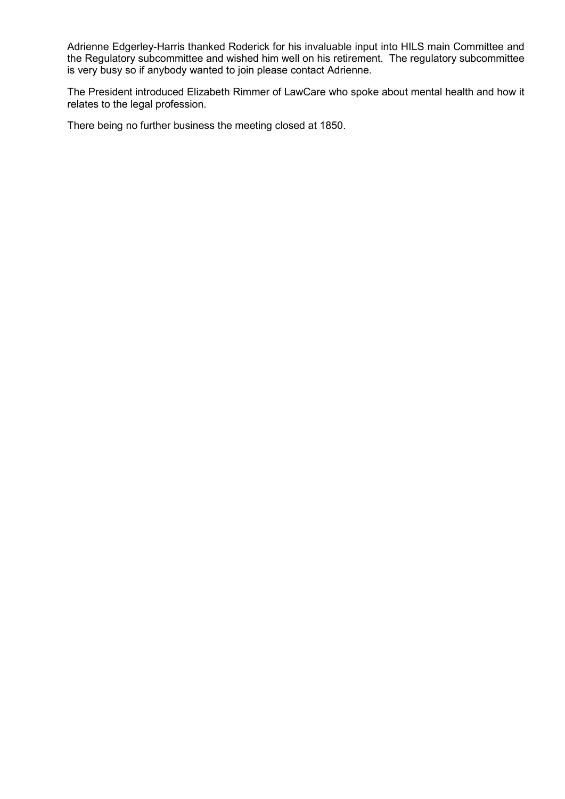Adrienne Edgerley-Harris thanked Roderick for his invaluable input into HILS main Committee and the Regulatory subcommittee and wished him well on his retirement. The regulatory subcommittee is very busy so if anybody wanted to join please contact Adrienne.

The President introduced Elizabeth Rimmer of LawCare who spoke about mental health and how it relates to the legal profession.

There being no further business the meeting closed at 1850.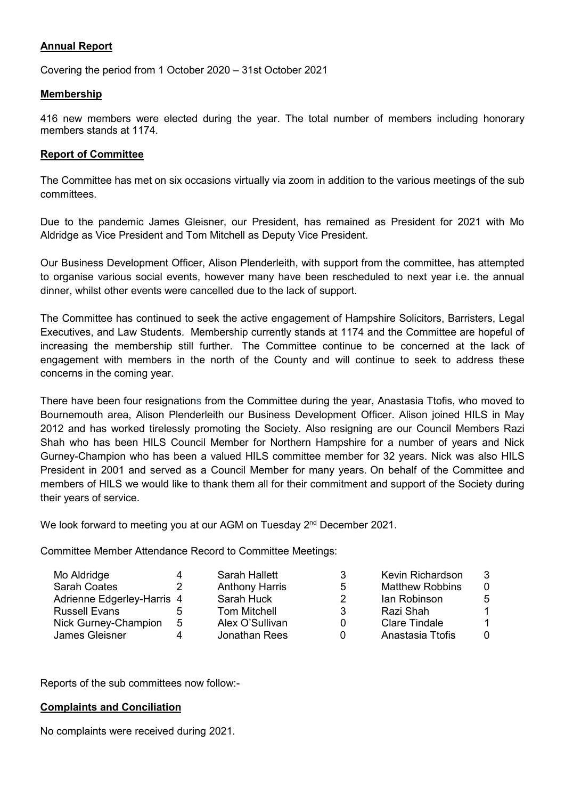### **Annual Report**

Covering the period from 1 October 2020 – 31st October 2021

#### **Membership**

416 new members were elected during the year. The total number of members including honorary members stands at 1174.

#### **Report of Committee**

The Committee has met on six occasions virtually via zoom in addition to the various meetings of the sub committees.

Due to the pandemic James Gleisner, our President, has remained as President for 2021 with Mo Aldridge as Vice President and Tom Mitchell as Deputy Vice President.

Our Business Development Officer, Alison Plenderleith, with support from the committee, has attempted to organise various social events, however many have been rescheduled to next year i.e. the annual dinner, whilst other events were cancelled due to the lack of support.

The Committee has continued to seek the active engagement of Hampshire Solicitors, Barristers, Legal Executives, and Law Students. Membership currently stands at 1174 and the Committee are hopeful of increasing the membership still further. The Committee continue to be concerned at the lack of engagement with members in the north of the County and will continue to seek to address these concerns in the coming year.

There have been four resignations from the Committee during the year, Anastasia Ttofis, who moved to Bournemouth area, Alison Plenderleith our Business Development Officer. Alison joined HILS in May 2012 and has worked tirelessly promoting the Society. Also resigning are our Council Members Razi Shah who has been HILS Council Member for Northern Hampshire for a number of years and Nick Gurney-Champion who has been a valued HILS committee member for 32 years. Nick was also HILS President in 2001 and served as a Council Member for many years. On behalf of the Committee and members of HILS we would like to thank them all for their commitment and support of the Society during their years of service.

We look forward to meeting you at our AGM on Tuesday 2<sup>nd</sup> December 2021.

Committee Member Attendance Record to Committee Meetings:

| Mo Aldridge                |   | Sarah Hallett         | 3        | Kevin Richardson       | 3              |
|----------------------------|---|-----------------------|----------|------------------------|----------------|
| Sarah Coates               |   | <b>Anthony Harris</b> | 5        | <b>Matthew Robbins</b> | $\Omega$       |
| Adrienne Edgerley-Harris 4 |   | Sarah Huck            | 2        | lan Robinson           | 5              |
| Russell Evans              |   | <b>Tom Mitchell</b>   | 3        | Razi Shah              | -1             |
| Nick Gurney-Champion       | 5 | Alex O'Sullivan       | 0        | <b>Clare Tindale</b>   | $\overline{1}$ |
| <b>James Gleisner</b>      |   | Jonathan Rees         | $\Omega$ | Anastasia Ttofis       | $\Omega$       |

Reports of the sub committees now follow:-

#### **Complaints and Conciliation**

No complaints were received during 2021.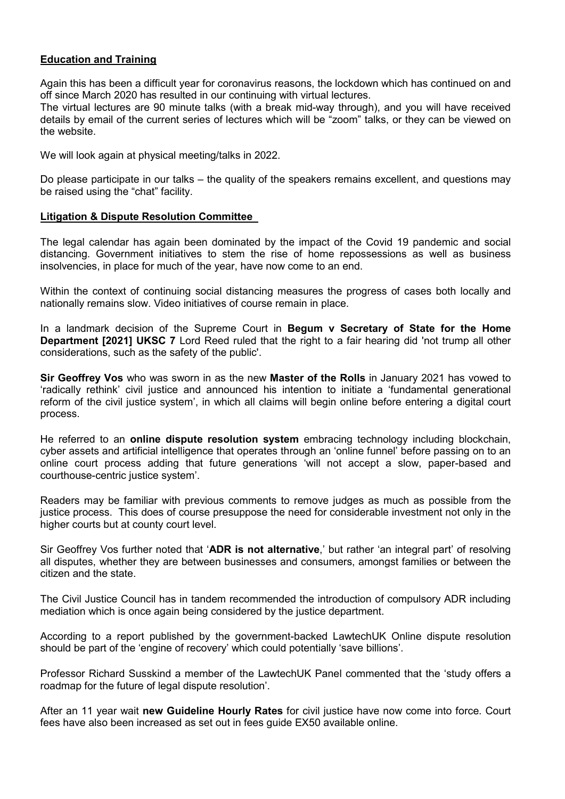### **Education and Training**

Again this has been a difficult year for coronavirus reasons, the lockdown which has continued on and off since March 2020 has resulted in our continuing with virtual lectures.

The virtual lectures are 90 minute talks (with a break mid-way through), and you will have received details by email of the current series of lectures which will be "zoom" talks, or they can be viewed on the website.

We will look again at physical meeting/talks in 2022.

Do please participate in our talks – the quality of the speakers remains excellent, and questions may be raised using the "chat" facility.

#### **Litigation & Dispute Resolution Committee**

The legal calendar has again been dominated by the impact of the Covid 19 pandemic and social distancing. Government initiatives to stem the rise of home repossessions as well as business insolvencies, in place for much of the year, have now come to an end.

Within the context of continuing social distancing measures the progress of cases both locally and nationally remains slow. Video initiatives of course remain in place.

In a landmark decision of the Supreme Court in **Begum v Secretary of State for the Home Department [2021] UKSC 7** Lord Reed ruled that the right to a fair hearing did 'not trump all other considerations, such as the safety of the public'.

**Sir Geoffrey Vos** who was sworn in as the new **Master of the Rolls** in January 2021 has vowed to 'radically rethink' civil justice and announced his intention to initiate a 'fundamental generational reform of the civil justice system', in which all claims will begin online before entering a digital court process.

He referred to an **online dispute resolution system** embracing technology including blockchain, cyber assets and artificial intelligence that operates through an 'online funnel' before passing on to an online court process adding that future generations 'will not accept a slow, paper-based and courthouse-centric justice system'.

Readers may be familiar with previous comments to remove judges as much as possible from the justice process. This does of course presuppose the need for considerable investment not only in the higher courts but at county court level.

Sir Geoffrey Vos further noted that '**ADR is not alternative**,' but rather 'an integral part' of resolving all disputes, whether they are between businesses and consumers, amongst families or between the citizen and the state.

The Civil Justice Council has in tandem recommended the introduction of compulsory ADR including mediation which is once again being considered by the justice department.

According to a report published by the government-backed LawtechUK Online dispute resolution should be part of the 'engine of recovery' which could potentially 'save billions'.

Professor Richard Susskind a member of the LawtechUK Panel commented that the 'study offers a roadmap for the future of legal dispute resolution'.

After an 11 year wait **new Guideline Hourly Rates** for civil justice have now come into force. Court fees have also been increased as set out in fees guide EX50 available online.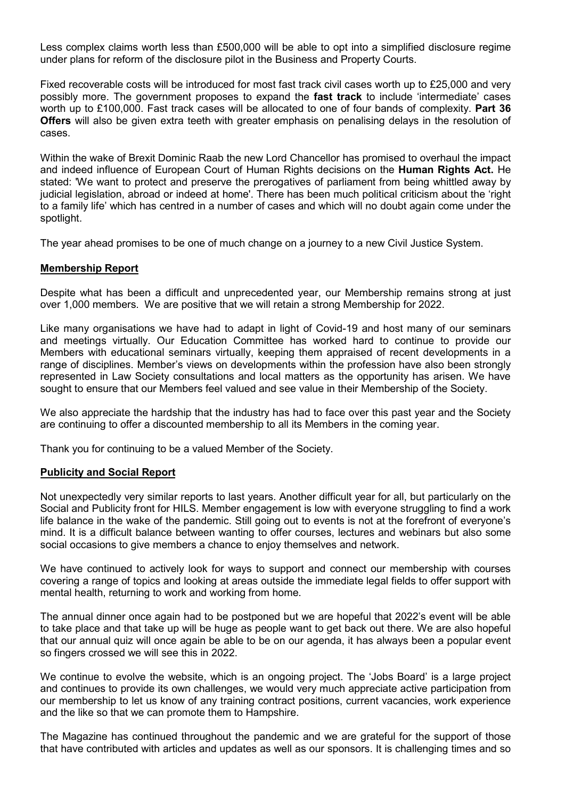Less complex claims worth less than £500,000 will be able to opt into a simplified disclosure regime under plans for reform of the disclosure pilot in the Business and Property Courts.

Fixed recoverable costs will be introduced for most fast track civil cases worth up to £25,000 and very possibly more. The government proposes to expand the **fast track** to include 'intermediate' cases worth up to £100,000. Fast track cases will be allocated to one of four bands of complexity. **Part 36 Offers** will also be given extra teeth with greater emphasis on penalising delays in the resolution of cases.

Within the wake of Brexit Dominic Raab the new Lord Chancellor has promised to overhaul the impact and indeed influence of European Court of Human Rights decisions on the **Human Rights Act.** He stated: 'We want to protect and preserve the prerogatives of parliament from being whittled away by judicial legislation, abroad or indeed at home'. There has been much political criticism about the 'right to a family life' which has centred in a number of cases and which will no doubt again come under the spotlight.

The year ahead promises to be one of much change on a journey to a new Civil Justice System.

#### **Membership Report**

Despite what has been a difficult and unprecedented year, our Membership remains strong at just over 1,000 members. We are positive that we will retain a strong Membership for 2022.

Like many organisations we have had to adapt in light of Covid-19 and host many of our seminars and meetings virtually. Our Education Committee has worked hard to continue to provide our Members with educational seminars virtually, keeping them appraised of recent developments in a range of disciplines. Member's views on developments within the profession have also been strongly represented in Law Society consultations and local matters as the opportunity has arisen. We have sought to ensure that our Members feel valued and see value in their Membership of the Society.

We also appreciate the hardship that the industry has had to face over this past year and the Society are continuing to offer a discounted membership to all its Members in the coming year.

Thank you for continuing to be a valued Member of the Society.

#### **Publicity and Social Report**

Not unexpectedly very similar reports to last years. Another difficult year for all, but particularly on the Social and Publicity front for HILS. Member engagement is low with everyone struggling to find a work life balance in the wake of the pandemic. Still going out to events is not at the forefront of everyone's mind. It is a difficult balance between wanting to offer courses, lectures and webinars but also some social occasions to give members a chance to enjoy themselves and network.

We have continued to actively look for ways to support and connect our membership with courses covering a range of topics and looking at areas outside the immediate legal fields to offer support with mental health, returning to work and working from home.

The annual dinner once again had to be postponed but we are hopeful that 2022's event will be able to take place and that take up will be huge as people want to get back out there. We are also hopeful that our annual quiz will once again be able to be on our agenda, it has always been a popular event so fingers crossed we will see this in 2022.

We continue to evolve the website, which is an ongoing project. The 'Jobs Board' is a large project and continues to provide its own challenges, we would very much appreciate active participation from our membership to let us know of any training contract positions, current vacancies, work experience and the like so that we can promote them to Hampshire.

The Magazine has continued throughout the pandemic and we are grateful for the support of those that have contributed with articles and updates as well as our sponsors. It is challenging times and so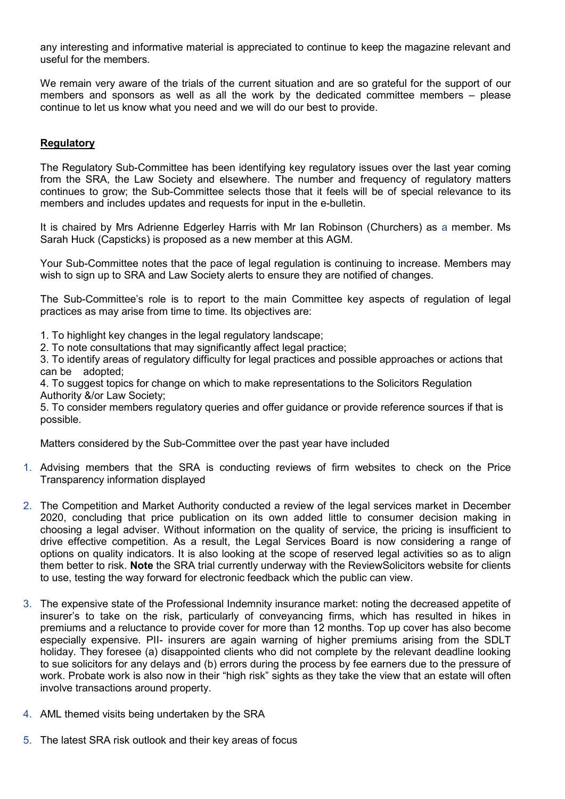any interesting and informative material is appreciated to continue to keep the magazine relevant and useful for the members.

We remain very aware of the trials of the current situation and are so grateful for the support of our members and sponsors as well as all the work by the dedicated committee members – please continue to let us know what you need and we will do our best to provide.

#### **Regulatory**

The Regulatory Sub-Committee has been identifying key regulatory issues over the last year coming from the SRA, the Law Society and elsewhere. The number and frequency of regulatory matters continues to grow; the Sub-Committee selects those that it feels will be of special relevance to its members and includes updates and requests for input in the e-bulletin.

It is chaired by Mrs Adrienne Edgerley Harris with Mr Ian Robinson (Churchers) as a member. Ms Sarah Huck (Capsticks) is proposed as a new member at this AGM.

Your Sub-Committee notes that the pace of legal regulation is continuing to increase. Members may wish to sign up to SRA and Law Society alerts to ensure they are notified of changes.

The Sub-Committee's role is to report to the main Committee key aspects of regulation of legal practices as may arise from time to time. Its objectives are:

- 1. To highlight key changes in the legal regulatory landscape;
- 2. To note consultations that may significantly affect legal practice;

3. To identify areas of regulatory difficulty for legal practices and possible approaches or actions that can be adopted;

4. To suggest topics for change on which to make representations to the Solicitors Regulation Authority &/or Law Society;

5. To consider members regulatory queries and offer guidance or provide reference sources if that is possible.

Matters considered by the Sub-Committee over the past year have included

- 1. Advising members that the SRA is conducting reviews of firm websites to check on the Price Transparency information displayed
- 2. The Competition and Market Authority conducted a review of the legal services market in December 2020, concluding that price publication on its own added little to consumer decision making in choosing a legal adviser. Without information on the quality of service, the pricing is insufficient to drive effective competition. As a result, the Legal Services Board is now considering a range of options on quality indicators. It is also looking at the scope of reserved legal activities so as to align them better to risk. **Note** the SRA trial currently underway with the ReviewSolicitors website for clients to use, testing the way forward for electronic feedback which the public can view.
- 3. The expensive state of the Professional Indemnity insurance market: noting the decreased appetite of insurer's to take on the risk, particularly of conveyancing firms, which has resulted in hikes in premiums and a reluctance to provide cover for more than 12 months. Top up cover has also become especially expensive. PII- insurers are again warning of higher premiums arising from the SDLT holiday. They foresee (a) disappointed clients who did not complete by the relevant deadline looking to sue solicitors for any delays and (b) errors during the process by fee earners due to the pressure of work. Probate work is also now in their "high risk" sights as they take the view that an estate will often involve transactions around property.
- 4. AML themed visits being undertaken by the SRA
- 5. The latest SRA risk outlook and their key areas of focus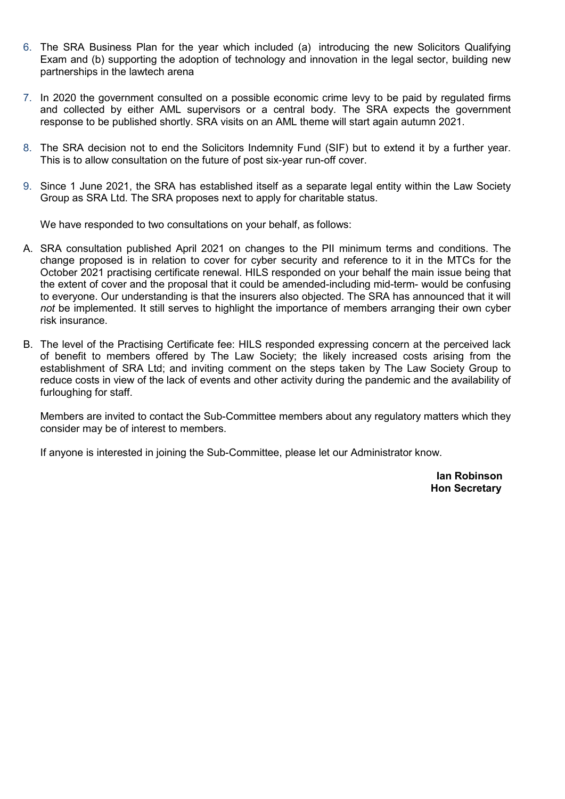- 6. The SRA Business Plan for the year which included (a) introducing the new Solicitors Qualifying Exam and (b) supporting the adoption of technology and innovation in the legal sector, building new partnerships in the lawtech arena
- 7. In 2020 the government consulted on a possible economic crime levy to be paid by regulated firms and collected by either AML supervisors or a central body. The SRA expects the government response to be published shortly. SRA visits on an AML theme will start again autumn 2021.
- 8. The SRA decision not to end the Solicitors Indemnity Fund (SIF) but to extend it by a further year. This is to allow consultation on the future of post six-year run-off cover.
- 9. Since 1 June 2021, the SRA has established itself as a separate legal entity within the Law Society Group as SRA Ltd. The SRA proposes next to apply for charitable status.

We have responded to two consultations on your behalf, as follows:

- A. SRA consultation published April 2021 on changes to the PII minimum terms and conditions. The change proposed is in relation to cover for cyber security and reference to it in the MTCs for the October 2021 practising certificate renewal. HILS responded on your behalf the main issue being that the extent of cover and the proposal that it could be amended-including mid-term- would be confusing to everyone. Our understanding is that the insurers also objected. The SRA has announced that it will *not* be implemented. It still serves to highlight the importance of members arranging their own cyber risk insurance.
- B. The level of the Practising Certificate fee: HILS responded expressing concern at the perceived lack of benefit to members offered by The Law Society; the likely increased costs arising from the establishment of SRA Ltd; and inviting comment on the steps taken by The Law Society Group to reduce costs in view of the lack of events and other activity during the pandemic and the availability of furloughing for staff.

Members are invited to contact the Sub-Committee members about any regulatory matters which they consider may be of interest to members.

If anyone is interested in joining the Sub-Committee, please let our Administrator know.

 **Ian Robinson Hon Secretary**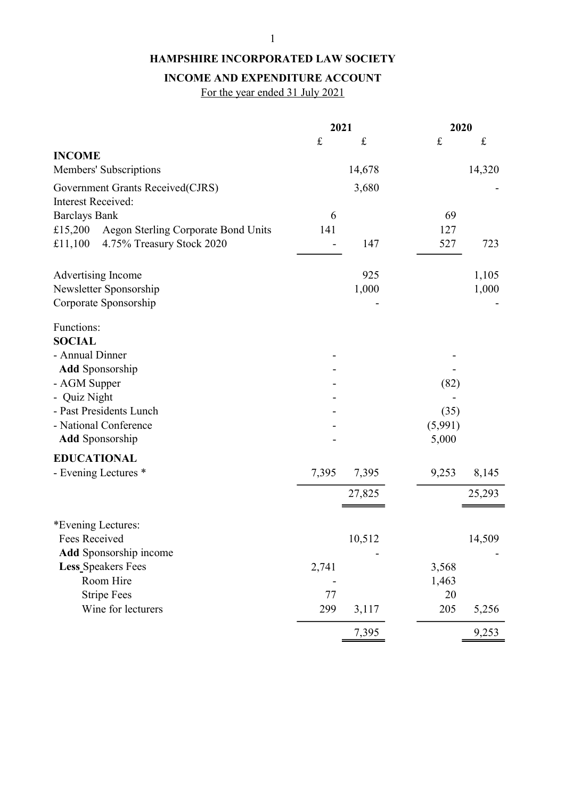## INCOME AND EXPENDITURE ACCOUNT

For the year ended 31 July 2021

|                                                                             | 2021      |           | 2020      |           |
|-----------------------------------------------------------------------------|-----------|-----------|-----------|-----------|
|                                                                             | $\pounds$ | $\pounds$ | $\pounds$ | $\pounds$ |
| <b>INCOME</b>                                                               |           |           |           |           |
| Members' Subscriptions                                                      |           | 14,678    |           | 14,320    |
| Government Grants Received(CJRS)                                            |           | 3,680     |           |           |
| <b>Interest Received:</b>                                                   |           |           |           |           |
| <b>Barclays Bank</b><br>£15,200                                             | 6<br>141  |           | 69<br>127 |           |
| Aegon Sterling Corporate Bond Units<br>£11,100<br>4.75% Treasury Stock 2020 |           | 147       | 527       | 723       |
|                                                                             |           |           |           |           |
| Advertising Income                                                          |           | 925       |           | 1,105     |
| Newsletter Sponsorship                                                      |           | 1,000     |           | 1,000     |
| Corporate Sponsorship                                                       |           |           |           |           |
| Functions:                                                                  |           |           |           |           |
| <b>SOCIAL</b>                                                               |           |           |           |           |
| - Annual Dinner                                                             |           |           |           |           |
| <b>Add Sponsorship</b>                                                      |           |           |           |           |
| - AGM Supper                                                                |           |           | (82)      |           |
| - Quiz Night                                                                |           |           |           |           |
| - Past Presidents Lunch                                                     |           |           | (35)      |           |
| - National Conference                                                       |           |           | (5,991)   |           |
| <b>Add Sponsorship</b>                                                      |           |           | 5,000     |           |
| <b>EDUCATIONAL</b>                                                          |           |           |           |           |
| - Evening Lectures *                                                        | 7,395     | 7,395     | 9,253     | 8,145     |
|                                                                             |           | 27,825    |           | 25,293    |
|                                                                             |           |           |           |           |
| *Evening Lectures:                                                          |           |           |           |           |
| Fees Received                                                               |           | 10,512    |           | 14,509    |
| <b>Add</b> Sponsorship income                                               |           |           |           |           |
| <b>Less</b> Speakers Fees                                                   | 2,741     |           | 3,568     |           |
| Room Hire                                                                   |           |           | 1,463     |           |
| <b>Stripe Fees</b>                                                          | 77        |           | 20        |           |
| Wine for lecturers                                                          | 299       | 3,117     | 205       | 5,256     |
|                                                                             |           | 7,395     |           | 9,253     |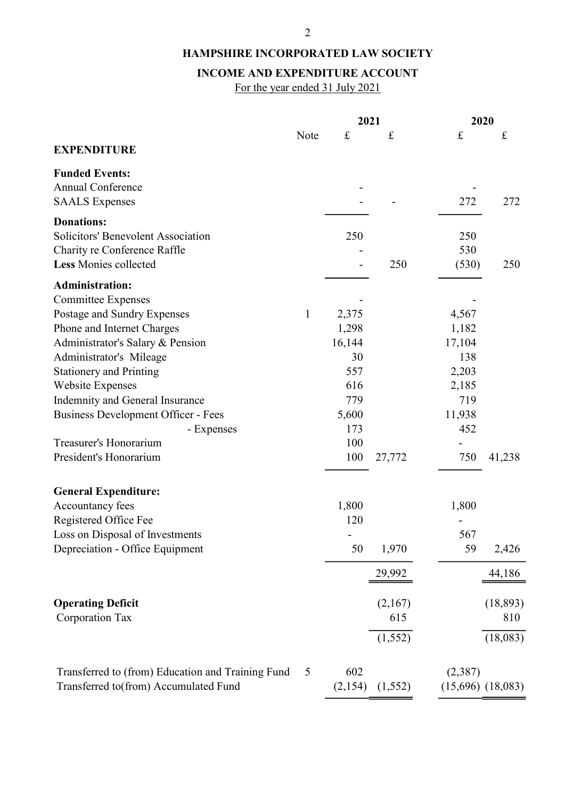## INCOME AND EXPENDITURE ACCOUNT

For the year ended 31 July 2021

|                                                              |              | 2021      |           | 2020      |                       |
|--------------------------------------------------------------|--------------|-----------|-----------|-----------|-----------------------|
|                                                              | Note         | $\pounds$ | $\pounds$ | $\pounds$ | £                     |
| <b>EXPENDITURE</b>                                           |              |           |           |           |                       |
| <b>Funded Events:</b>                                        |              |           |           |           |                       |
| <b>Annual Conference</b>                                     |              |           |           |           |                       |
| <b>SAALS</b> Expenses                                        |              |           |           | 272       | 272                   |
|                                                              |              |           |           |           |                       |
| <b>Donations:</b><br>Solicitors' Benevolent Association      |              |           |           | 250       |                       |
|                                                              |              | 250       |           | 530       |                       |
| Charity re Conference Raffle<br><b>Less Monies collected</b> |              |           | 250       |           |                       |
|                                                              |              |           |           | (530)     | 250                   |
| <b>Administration:</b>                                       |              |           |           |           |                       |
| <b>Committee Expenses</b>                                    |              |           |           |           |                       |
| Postage and Sundry Expenses                                  | $\mathbf{1}$ | 2,375     |           | 4,567     |                       |
| Phone and Internet Charges                                   |              | 1,298     |           | 1,182     |                       |
| Administrator's Salary & Pension                             |              | 16,144    |           | 17,104    |                       |
| Administrator's Mileage                                      |              | 30        |           | 138       |                       |
| <b>Stationery and Printing</b>                               |              | 557       |           | 2,203     |                       |
| <b>Website Expenses</b>                                      |              | 616       |           | 2,185     |                       |
| Indemnity and General Insurance                              |              | 779       |           | 719       |                       |
| Business Development Officer - Fees                          |              | 5,600     |           | 11,938    |                       |
| - Expenses                                                   |              | 173       |           | 452       |                       |
| Treasurer's Honorarium                                       |              | 100       |           |           |                       |
| President's Honorarium                                       |              | 100       | 27,772    | 750       | 41,238                |
| <b>General Expenditure:</b>                                  |              |           |           |           |                       |
| Accountancy fees                                             |              | 1,800     |           | 1,800     |                       |
| Registered Office Fee                                        |              | 120       |           |           |                       |
| Loss on Disposal of Investments                              |              |           |           | 567       |                       |
| Depreciation - Office Equipment                              |              | 50        | 1,970     | 59        | 2,426                 |
|                                                              |              |           | 29,992    |           | 44,186                |
|                                                              |              |           |           |           |                       |
| <b>Operating Deficit</b>                                     |              |           | (2,167)   |           | (18, 893)             |
| Corporation Tax                                              |              |           | 615       |           | 810                   |
|                                                              |              |           | (1, 552)  |           | (18,083)              |
| Transferred to (from) Education and Training Fund            | 5            | 602       |           | (2,387)   |                       |
| Transferred to(from) Accumulated Fund                        |              | (2,154)   | (1, 552)  |           | $(15,696)$ $(18,083)$ |
|                                                              |              |           |           |           |                       |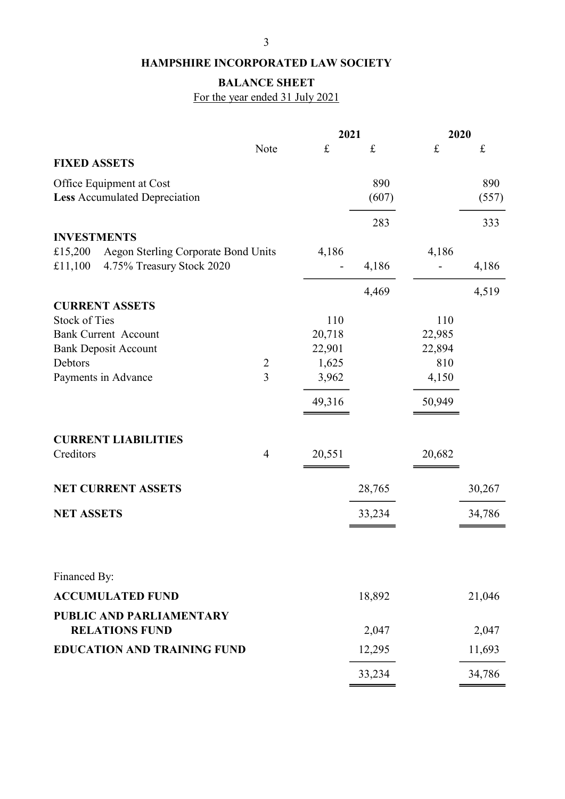# BALANCE SHEET

For the year ended 31 July 2021

|                                                | 2021           |                  |           | 2020          |           |
|------------------------------------------------|----------------|------------------|-----------|---------------|-----------|
|                                                | Note           | $\pounds$        | $\pounds$ | $\pounds$     | $\pounds$ |
| <b>FIXED ASSETS</b>                            |                |                  |           |               |           |
| Office Equipment at Cost                       |                |                  | 890       |               | 890       |
| <b>Less Accumulated Depreciation</b>           |                |                  | (607)     |               | (557)     |
|                                                |                |                  |           |               |           |
| <b>INVESTMENTS</b>                             |                |                  | 283       |               | 333       |
| £15,200<br>Aegon Sterling Corporate Bond Units |                | 4,186            |           | 4,186         |           |
| £11,100<br>4.75% Treasury Stock 2020           |                |                  | 4,186     |               | 4,186     |
|                                                |                |                  |           |               |           |
|                                                |                |                  | 4,469     |               | 4,519     |
| <b>CURRENT ASSETS</b>                          |                |                  |           |               |           |
| <b>Stock of Ties</b>                           |                | 110              |           | 110           |           |
| <b>Bank Current Account</b>                    |                | 20,718<br>22,901 |           | 22,985        |           |
| <b>Bank Deposit Account</b><br>Debtors         | $\overline{2}$ | 1,625            |           | 22,894<br>810 |           |
| Payments in Advance                            | $\overline{3}$ | 3,962            |           | 4,150         |           |
|                                                |                |                  |           |               |           |
|                                                |                | 49,316           |           | 50,949        |           |
|                                                |                |                  |           |               |           |
| <b>CURRENT LIABILITIES</b>                     |                |                  |           |               |           |
| Creditors                                      | $\overline{4}$ | 20,551           |           | 20,682        |           |
| <b>NET CURRENT ASSETS</b>                      |                |                  | 28,765    |               | 30,267    |
| <b>NET ASSETS</b>                              |                |                  | 33,234    |               | 34,786    |
|                                                |                |                  |           |               |           |
|                                                |                |                  |           |               |           |
| Financed By:                                   |                |                  |           |               |           |
| <b>ACCUMULATED FUND</b>                        |                |                  | 18,892    |               | 21,046    |
| <b>PUBLIC AND PARLIAMENTARY</b>                |                |                  |           |               |           |
| <b>RELATIONS FUND</b>                          |                |                  | 2,047     |               | 2,047     |
| <b>EDUCATION AND TRAINING FUND</b>             |                |                  | 12,295    |               | 11,693    |
|                                                |                |                  | 33,234    |               | 34,786    |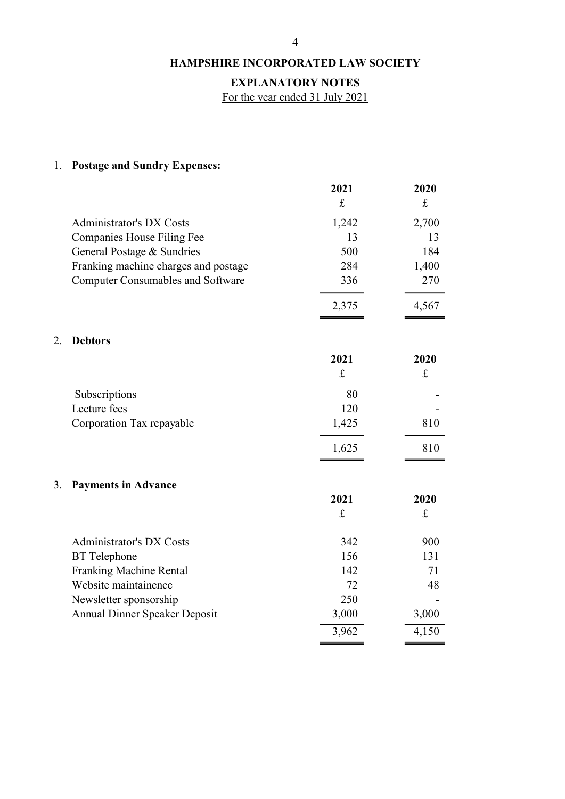## EXPLANATORY NOTES

For the year ended 31 July 2021

# 1. Postage and Sundry Expenses:

|                                          | 2021  | 2020  |
|------------------------------------------|-------|-------|
|                                          | £     | £     |
| Administrator's DX Costs                 | 1,242 | 2,700 |
| Companies House Filing Fee               | 13    | 13    |
| General Postage & Sundries               | 500   | 184   |
| Franking machine charges and postage     | 284   | 1,400 |
| <b>Computer Consumables and Software</b> | 336   | 270   |
|                                          | 2,375 |       |

### 2. Debtors

|                           | 2021  | 2020 |
|---------------------------|-------|------|
|                           | £     | £    |
| Subscriptions             | 80    |      |
| Lecture fees              | 120   |      |
| Corporation Tax repayable | 1,425 | 810  |
|                           | 1,625 |      |

 $\overline{\phantom{0}}$ 

 $\equiv$ 

## 3. Payments in Advance

|                               | 2021  | 2020  |
|-------------------------------|-------|-------|
|                               | £     | £     |
| Administrator's DX Costs      | 342   | 900   |
| <b>BT</b> Telephone           | 156   | 131   |
| Franking Machine Rental       | 142   | 71    |
| Website maintainence          | 72    | 48    |
| Newsletter sponsorship        | 250   |       |
| Annual Dinner Speaker Deposit | 3,000 | 3,000 |
|                               | 3,962 | 4,150 |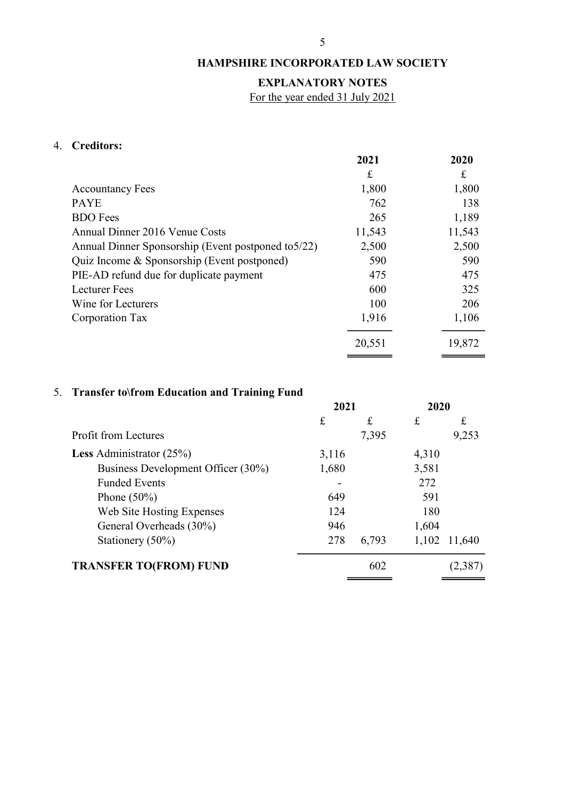## EXPLANATORY NOTES

For the year ended 31 July 2021

## 4. Creditors:

|                                                     | 2021   | 2020   |
|-----------------------------------------------------|--------|--------|
|                                                     | £      | £      |
| <b>Accountancy Fees</b>                             | 1,800  | 1,800  |
| <b>PAYE</b>                                         | 762    | 138    |
| <b>BDO</b> Fees                                     | 265    | 1,189  |
| Annual Dinner 2016 Venue Costs                      | 11,543 | 11,543 |
| Annual Dinner Sponsorship (Event postponed to 5/22) | 2,500  | 2,500  |
| Quiz Income & Sponsorship (Event postponed)         | 590    | 590    |
| PIE-AD refund due for duplicate payment             | 475    | 475    |
| <b>Lecturer</b> Fees                                | 600    | 325    |
| Wine for Lecturers                                  | 100    | 206    |
| Corporation Tax                                     | 1,916  | 1,106  |
|                                                     | 20,551 | 19,872 |

# 5. Transfer to\from Education and Training Fund

| o                                  | 2021  |       |       |         | 2020 |  |
|------------------------------------|-------|-------|-------|---------|------|--|
|                                    | £     | £     | £     | £       |      |  |
| <b>Profit from Lectures</b>        |       | 7,395 |       | 9,253   |      |  |
| <b>Less</b> Administrator $(25%)$  | 3,116 |       | 4,310 |         |      |  |
| Business Development Officer (30%) | 1,680 |       | 3,581 |         |      |  |
| <b>Funded Events</b>               |       |       | 272   |         |      |  |
| Phone $(50\%)$                     | 649   |       | 591   |         |      |  |
| Web Site Hosting Expenses          | 124   |       | 180   |         |      |  |
| General Overheads (30%)            | 946   |       | 1,604 |         |      |  |
| Stationery (50%)                   | 278   | 6,793 | 1,102 | 11,640  |      |  |
| <b>TRANSFER TO(FROM) FUND</b>      |       | 602   |       | (2,387) |      |  |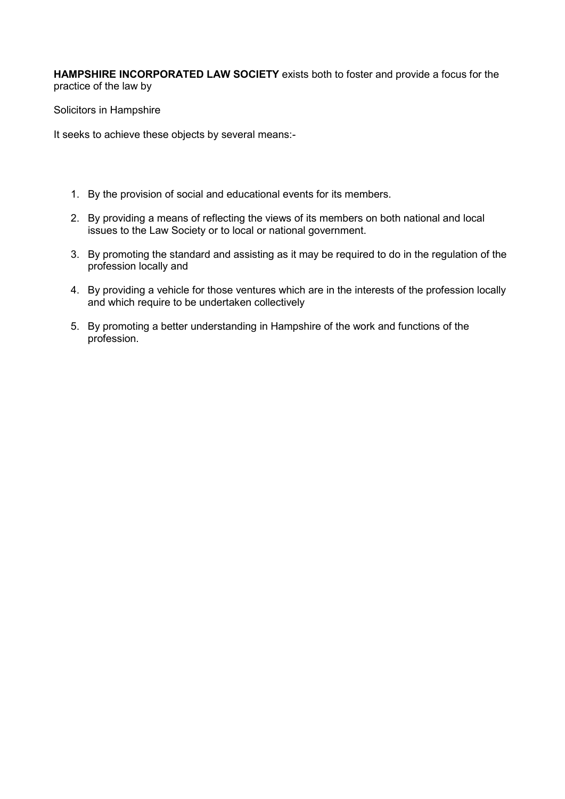**HAMPSHIRE INCORPORATED LAW SOCIETY** exists both to foster and provide a focus for the practice of the law by

Solicitors in Hampshire

It seeks to achieve these objects by several means:-

- 1. By the provision of social and educational events for its members.
- 2. By providing a means of reflecting the views of its members on both national and local issues to the Law Society or to local or national government.
- 3. By promoting the standard and assisting as it may be required to do in the regulation of the profession locally and
- 4. By providing a vehicle for those ventures which are in the interests of the profession locally and which require to be undertaken collectively
- 5. By promoting a better understanding in Hampshire of the work and functions of the profession.